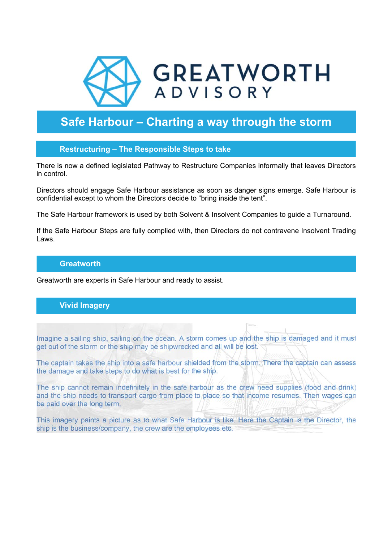

# **Safe Harbour – Charting a way through the storm**

## **Restructuring – The Responsible Steps to take**

There is now a defined legislated Pathway to Restructure Companies informally that leaves Directors in control.

Directors should engage Safe Harbour assistance as soon as danger signs emerge. Safe Harbour is confidential except to whom the Directors decide to "bring inside the tent".

The Safe Harbour framework is used by both Solvent & Insolvent Companies to guide a Turnaround.

If the Safe Harbour Steps are fully complied with, then Directors do not contravene Insolvent Trading Laws.

#### **Greatworth**

Greatworth are experts in Safe Harbour and ready to assist.

## **Vivid Imagery**

Imagine a sailing ship, sailing on the ocean. A storm comes up and the ship is damaged and it must get out of the storm or the ship may be shipwrecked and all will be lost.

The captain takes the ship into a safe harbour shielded from the storm. There the captain can assess the damage and take steps to do what is best for the ship.

The ship cannot remain indefinitely in the safe harbour as the crew need supplies (food and drink) and the ship needs to transport cargo from place to place so that income resumes. Then wages can be paid over the long term.

This imagery paints a picture as to what Safe Harbour is like. Here the Captain is the Director, the ship is the business/company, the crew are the employees etc.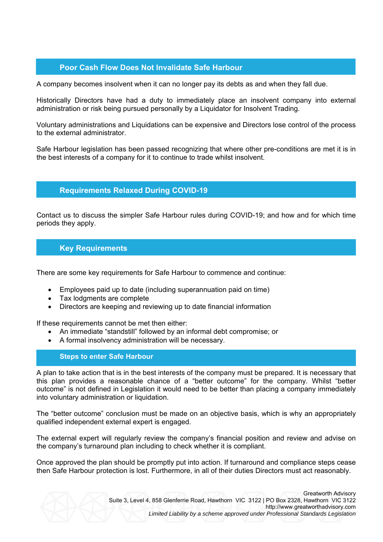# **Poor Cash Flow Does Not Invalidate Safe Harbour**

A company becomes insolvent when it can no longer pay its debts as and when they fall due.

Historically Directors have had a duty to immediately place an insolvent company into external administration or risk being pursued personally by a Liquidator for Insolvent Trading.

Voluntary administrations and Liquidations can be expensive and Directors lose control of the process to the external administrator.

Safe Harbour legislation has been passed recognizing that where other pre-conditions are met it is in the best interests of a company for it to continue to trade whilst insolvent.

#### **Requirements Relaxed During COVID-19**

Contact us to discuss the simpler Safe Harbour rules during COVID-19; and how and for which time periods they apply.

## **Key Requirements**

There are some key requirements for Safe Harbour to commence and continue:

- Employees paid up to date (including superannuation paid on time)
- Tax lodgments are complete
- Directors are keeping and reviewing up to date financial information

If these requirements cannot be met then either:

- An immediate "standstill" followed by an informal debt compromise; or
- A formal insolvency administration will be necessary.

#### **Steps to enter Safe Harbour**

A plan to take action that is in the best interests of the company must be prepared. It is necessary that this plan provides a reasonable chance of a "better outcome" for the company. Whilst "better outcome" is not defined in Legislation it would need to be better than placing a company immediately into voluntary administration or liquidation.

The "better outcome" conclusion must be made on an objective basis, which is why an appropriately qualified independent external expert is engaged.

The external expert will regularly review the company's financial position and review and advise on the company's turnaround plan including to check whether it is compliant.

Once approved the plan should be promptly put into action. If turnaround and compliance steps cease then Safe Harbour protection is lost. Furthermore, in all of their duties Directors must act reasonably.